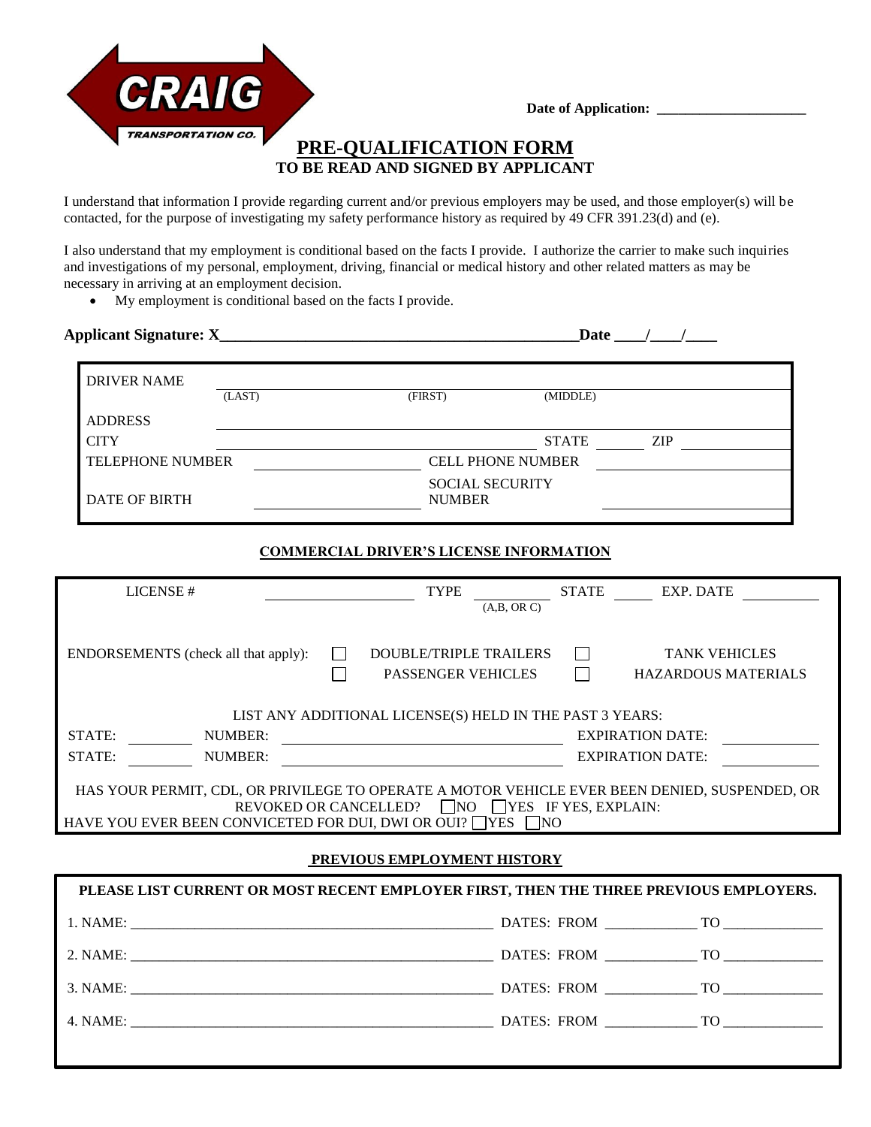

**Date of Application: \_\_\_\_\_\_\_\_\_\_\_\_\_\_\_\_\_\_\_\_\_**

# **PRE-QUALIFICATION FORM TO BE READ AND SIGNED BY APPLICANT**

I understand that information I provide regarding current and/or previous employers may be used, and those employer(s) will be contacted, for the purpose of investigating my safety performance history as required by 49 CFR 391.23(d) and (e).

I also understand that my employment is conditional based on the facts I provide. I authorize the carrier to make such inquiries and investigations of my personal, employment, driving, financial or medical history and other related matters as may be necessary in arriving at an employment decision.

My employment is conditional based on the facts I provide.

| <b>Applicant Signature: X_</b> |        |                                         | Date                     |            |  |
|--------------------------------|--------|-----------------------------------------|--------------------------|------------|--|
| <b>DRIVER NAME</b>             |        |                                         |                          |            |  |
| <b>ADDRESS</b>                 | (LAST) | (FIRST)                                 | (MIDDLE)                 |            |  |
|                                |        |                                         |                          |            |  |
| <b>CITY</b>                    |        |                                         | <b>STATE</b>             | <b>ZIP</b> |  |
| <b>TELEPHONE NUMBER</b>        |        |                                         | <b>CELL PHONE NUMBER</b> |            |  |
| <b>DATE OF BIRTH</b>           |        | <b>SOCIAL SECURITY</b><br><b>NUMBER</b> |                          |            |  |

### **COMMERCIAL DRIVER'S LICENSE INFORMATION**

| LICENSE#                                                                                                                                                                                                                                | <b>TYPE</b><br>(A,B, OR C)                                 | <b>STATE</b><br><b>EXP. DATE</b>                   |  |  |  |  |
|-----------------------------------------------------------------------------------------------------------------------------------------------------------------------------------------------------------------------------------------|------------------------------------------------------------|----------------------------------------------------|--|--|--|--|
| ENDORSEMENTS (check all that apply):                                                                                                                                                                                                    | <b>DOUBLE/TRIPLE TRAILERS</b><br><b>PASSENGER VEHICLES</b> | <b>TANK VEHICLES</b><br><b>HAZARDOUS MATERIALS</b> |  |  |  |  |
| LIST ANY ADDITIONAL LICENSE(S) HELD IN THE PAST 3 YEARS:                                                                                                                                                                                |                                                            |                                                    |  |  |  |  |
| NUMBER:<br>STATE:                                                                                                                                                                                                                       | <b>EXPIRATION DATE:</b>                                    |                                                    |  |  |  |  |
| STATE:<br><b>NUMBER:</b>                                                                                                                                                                                                                |                                                            | <b>EXPIRATION DATE:</b>                            |  |  |  |  |
| HAS YOUR PERMIT, CDL, OR PRIVILEGE TO OPERATE A MOTOR VEHICLE EVER BEEN DENIED, SUSPENDED, OR<br>TYES IF YES, EXPLAIN:<br>$\Box$ NO<br><b>REVOKED OR CANCELLED?</b><br>HAVE YOU EVER BEEN CONVICETED FOR DUI. DWI OR OUI? FYES<br>  INO |                                                            |                                                    |  |  |  |  |

#### **PREVIOUS EMPLOYMENT HISTORY**

| PLEASE LIST CURRENT OR MOST RECENT EMPLOYER FIRST, THEN THE THREE PREVIOUS EMPLOYERS. |  |  |  |  |  |
|---------------------------------------------------------------------------------------|--|--|--|--|--|
|                                                                                       |  |  |  |  |  |
|                                                                                       |  |  |  |  |  |
|                                                                                       |  |  |  |  |  |
|                                                                                       |  |  |  |  |  |
|                                                                                       |  |  |  |  |  |